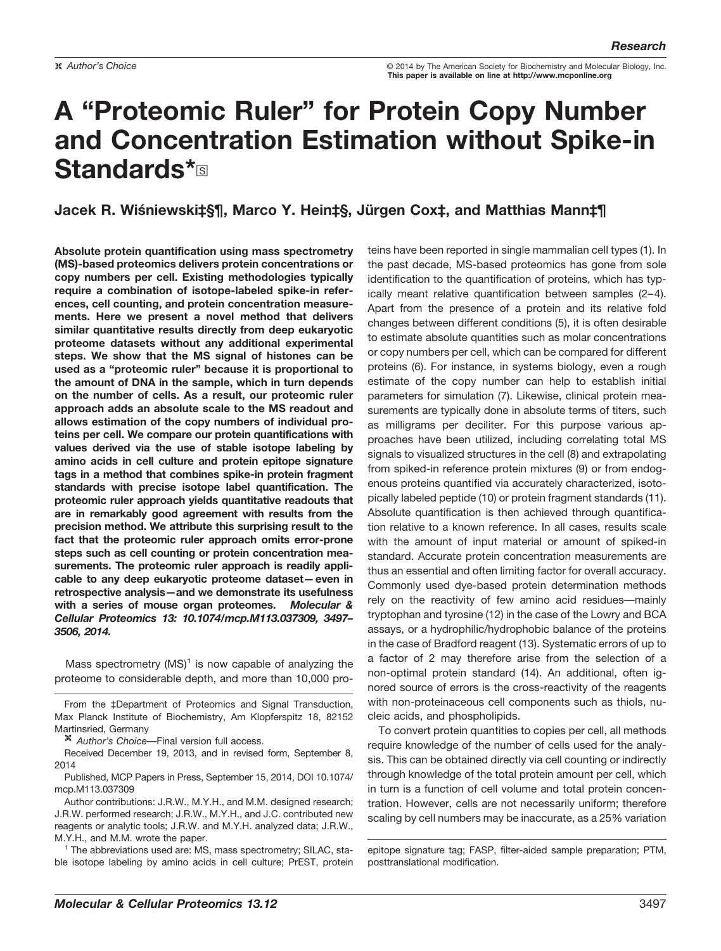**Author's Choice Exercise Choice Choice Called Society for Biochemistry and Molecular Biology, Inc. This paper is available on line at http://www.mcponline.org**

# **A "Proteomic Ruler" for Protein Copy Number and Concentration Estimation without Spike-in Standards\***

## **Jacek R. Wiśniewski‡§¶, Marco Y. Hein‡§, Jürgen Cox‡, and Matthias Mann‡¶**

**Absolute protein quantification using mass spectrometry (MS)-based proteomics delivers protein concentrations or copy numbers per cell. Existing methodologies typically require a combination of isotope-labeled spike-in references, cell counting, and protein concentration measurements. Here we present a novel method that delivers similar quantitative results directly from deep eukaryotic proteome datasets without any additional experimental steps. We show that the MS signal of histones can be used as a "proteomic ruler" because it is proportional to the amount of DNA in the sample, which in turn depends on the number of cells. As a result, our proteomic ruler approach adds an absolute scale to the MS readout and allows estimation of the copy numbers of individual proteins per cell. We compare our protein quantifications with values derived via the use of stable isotope labeling by amino acids in cell culture and protein epitope signature tags in a method that combines spike-in protein fragment standards with precise isotope label quantification. The proteomic ruler approach yields quantitative readouts that are in remarkably good agreement with results from the precision method. We attribute this surprising result to the fact that the proteomic ruler approach omits error-prone steps such as cell counting or protein concentration measurements. The proteomic ruler approach is readily applicable to any deep eukaryotic proteome dataset—even in retrospective analysis—and we demonstrate its usefulness with a series of mouse organ proteomes.** *Molecular & Cellular Proteomics 13: 10.1074/mcp.M113.037309, 3497– 3506, 2014.*

Mass spectrometry  $(MS)^1$  is now capable of analyzing the proteome to considerable depth, and more than 10,000 pro-

From the ‡Department of Proteomics and Signal Transduction, Max Planck Institute of Biochemistry, Am Klopferspitz 18, 82152 Martinsried, Germany

*Author's Choice*—Final version full access.

Received December 19, 2013, and in revised form, September 8, 2014

Published, MCP Papers in Press, September 15, 2014, DOI 10.1074/ mcp.M113.037309

Author contributions: J.R.W., M.Y.H., and M.M. designed research; J.R.W. performed research; J.R.W., M.Y.H., and J.C. contributed new reagents or analytic tools; J.R.W. and M.Y.H. analyzed data; J.R.W., M.Y.H., and M.M. wrote the paper.

<sup>1</sup> The abbreviations used are: MS, mass spectrometry; SILAC, stable isotope labeling by amino acids in cell culture; PrEST, protein teins have been reported in single mammalian cell types (1). In the past decade, MS-based proteomics has gone from sole identification to the quantification of proteins, which has typically meant relative quantification between samples (2– 4). Apart from the presence of a protein and its relative fold changes between different conditions (5), it is often desirable to estimate absolute quantities such as molar concentrations or copy numbers per cell, which can be compared for different proteins (6). For instance, in systems biology, even a rough estimate of the copy number can help to establish initial parameters for simulation (7). Likewise, clinical protein measurements are typically done in absolute terms of titers, such as milligrams per deciliter. For this purpose various approaches have been utilized, including correlating total MS signals to visualized structures in the cell (8) and extrapolating from spiked-in reference protein mixtures (9) or from endogenous proteins quantified via accurately characterized, isotopically labeled peptide (10) or protein fragment standards (11). Absolute quantification is then achieved through quantification relative to a known reference. In all cases, results scale with the amount of input material or amount of spiked-in standard. Accurate protein concentration measurements are thus an essential and often limiting factor for overall accuracy. Commonly used dye-based protein determination methods rely on the reactivity of few amino acid residues—mainly tryptophan and tyrosine (12) in the case of the Lowry and BCA assays, or a hydrophilic/hydrophobic balance of the proteins in the case of Bradford reagent (13). Systematic errors of up to a factor of 2 may therefore arise from the selection of a non-optimal protein standard (14). An additional, often ignored source of errors is the cross-reactivity of the reagents with non-proteinaceous cell components such as thiols, nucleic acids, and phospholipids.

To convert protein quantities to copies per cell, all methods require knowledge of the number of cells used for the analysis. This can be obtained directly via cell counting or indirectly through knowledge of the total protein amount per cell, which in turn is a function of cell volume and total protein concentration. However, cells are not necessarily uniform; therefore scaling by cell numbers may be inaccurate, as a 25% variation

epitope signature tag; FASP, filter-aided sample preparation; PTM, posttranslational modification.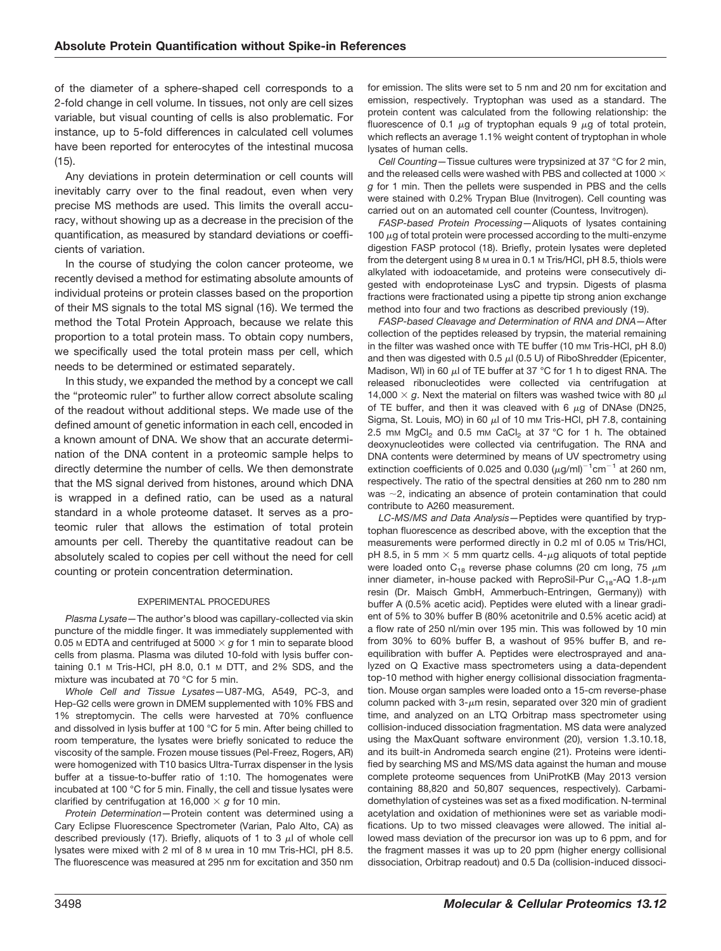of the diameter of a sphere-shaped cell corresponds to a 2-fold change in cell volume. In tissues, not only are cell sizes variable, but visual counting of cells is also problematic. For instance, up to 5-fold differences in calculated cell volumes have been reported for enterocytes of the intestinal mucosa (15).

Any deviations in protein determination or cell counts will inevitably carry over to the final readout, even when very precise MS methods are used. This limits the overall accuracy, without showing up as a decrease in the precision of the quantification, as measured by standard deviations or coefficients of variation.

In the course of studying the colon cancer proteome, we recently devised a method for estimating absolute amounts of individual proteins or protein classes based on the proportion of their MS signals to the total MS signal (16). We termed the method the Total Protein Approach, because we relate this proportion to a total protein mass. To obtain copy numbers, we specifically used the total protein mass per cell, which needs to be determined or estimated separately.

In this study, we expanded the method by a concept we call the "proteomic ruler" to further allow correct absolute scaling of the readout without additional steps. We made use of the defined amount of genetic information in each cell, encoded in a known amount of DNA. We show that an accurate determination of the DNA content in a proteomic sample helps to directly determine the number of cells. We then demonstrate that the MS signal derived from histones, around which DNA is wrapped in a defined ratio, can be used as a natural standard in a whole proteome dataset. It serves as a proteomic ruler that allows the estimation of total protein amounts per cell. Thereby the quantitative readout can be absolutely scaled to copies per cell without the need for cell counting or protein concentration determination.

#### EXPERIMENTAL PROCEDURES

*Plasma Lysate—*The author's blood was capillary-collected via skin puncture of the middle finger. It was immediately supplemented with 0.05 м EDTA and centrifuged at 5000  $\times$   $g$  for 1 min to separate blood cells from plasma. Plasma was diluted 10-fold with lysis buffer containing 0.1 M Tris-HCl, pH 8.0, 0.1 M DTT, and 2% SDS, and the mixture was incubated at 70 °C for 5 min.

*Whole Cell and Tissue Lysates—*U87-MG, A549, PC-3, and Hep-G2 cells were grown in DMEM supplemented with 10% FBS and 1% streptomycin. The cells were harvested at 70% confluence and dissolved in lysis buffer at 100 °C for 5 min. After being chilled to room temperature, the lysates were briefly sonicated to reduce the viscosity of the sample. Frozen mouse tissues (Pel-Freez, Rogers, AR) were homogenized with T10 basics Ultra-Turrax dispenser in the lysis buffer at a tissue-to-buffer ratio of 1:10. The homogenates were incubated at 100 °C for 5 min. Finally, the cell and tissue lysates were clarified by centrifugation at 16,000  $\times$  g for 10 min.

*Protein Determination—*Protein content was determined using a Cary Eclipse Fluorescence Spectrometer (Varian, Palo Alto, CA) as described previously (17). Briefly, aliquots of 1 to 3  $\mu$ l of whole cell lysates were mixed with 2 ml of 8 M urea in 10 mM Tris-HCl, pH 8.5. The fluorescence was measured at 295 nm for excitation and 350 nm

for emission. The slits were set to 5 nm and 20 nm for excitation and emission, respectively. Tryptophan was used as a standard. The protein content was calculated from the following relationship: the fluorescence of 0.1  $\mu$ g of tryptophan equals 9  $\mu$ g of total protein, which reflects an average 1.1% weight content of tryptophan in whole lysates of human cells.

*Cell Counting—*Tissue cultures were trypsinized at 37 °C for 2 min, and the released cells were washed with PBS and collected at 1000  $\times$ *g* for 1 min. Then the pellets were suspended in PBS and the cells were stained with 0.2% Trypan Blue (Invitrogen). Cell counting was carried out on an automated cell counter (Countess, Invitrogen).

*FASP-based Protein Processing—*Aliquots of lysates containing 100  $\mu$ g of total protein were processed according to the multi-enzyme digestion FASP protocol (18). Briefly, protein lysates were depleted from the detergent using 8  $M$  urea in 0.1  $M$  Tris/HCl, pH 8.5, thiols were alkylated with iodoacetamide, and proteins were consecutively digested with endoproteinase LysC and trypsin. Digests of plasma fractions were fractionated using a pipette tip strong anion exchange method into four and two fractions as described previously (19).

*FASP-based Cleavage and Determination of RNA and DNA—*After collection of the peptides released by trypsin, the material remaining in the filter was washed once with TE buffer (10 mm Tris-HCl, pH 8.0) and then was digested with 0.5  $\mu$ l (0.5 U) of RiboShredder (Epicenter, Madison, WI) in 60  $\mu$ I of TE buffer at 37 °C for 1 h to digest RNA. The released ribonucleotides were collected via centrifugation at 14,000  $\times$  g. Next the material on filters was washed twice with 80  $\mu$ l of TE buffer, and then it was cleaved with 6  $\mu$ g of DNAse (DN25, Sigma, St. Louis, MO) in 60  $\mu$ l of 10 mm Tris-HCl, pH 7.8, containing 2.5 mm  $MgCl<sub>2</sub>$  and 0.5 mm CaCl<sub>2</sub> at 37 °C for 1 h. The obtained deoxynucleotides were collected via centrifugation. The RNA and DNA contents were determined by means of UV spectrometry using extinction coefficients of 0.025 and 0.030  $(\mu g/ml)^{-1}$ cm<sup>-1</sup> at 260 nm, respectively. The ratio of the spectral densities at 260 nm to 280 nm was  $\sim$ 2, indicating an absence of protein contamination that could contribute to A260 measurement.

*LC-MS/MS and Data Analysis—*Peptides were quantified by tryptophan fluorescence as described above, with the exception that the measurements were performed directly in 0.2 ml of 0.05 M Tris/HCl, pH 8.5, in 5 mm  $\times$  5 mm quartz cells. 4- $\mu$ g aliquots of total peptide were loaded onto  $\textsf{C}_{\textup{18}}$  reverse phase columns (20 cm long, 75  $\mu$ m inner diameter, in-house packed with ReproSil-Pur  $\rm C_{18}$ -AQ 1.8- $\rm \mu m$ resin (Dr. Maisch GmbH, Ammerbuch-Entringen, Germany)) with buffer A (0.5% acetic acid). Peptides were eluted with a linear gradient of 5% to 30% buffer B (80% acetonitrile and 0.5% acetic acid) at a flow rate of 250 nl/min over 195 min. This was followed by 10 min from 30% to 60% buffer B, a washout of 95% buffer B, and reequilibration with buffer A. Peptides were electrosprayed and analyzed on Q Exactive mass spectrometers using a data-dependent top-10 method with higher energy collisional dissociation fragmentation. Mouse organ samples were loaded onto a 15-cm reverse-phase column packed with  $3\text{-}\mu$ m resin, separated over 320 min of gradient time, and analyzed on an LTQ Orbitrap mass spectrometer using collision-induced dissociation fragmentation. MS data were analyzed using the MaxQuant software environment (20), version 1.3.10.18, and its built-in Andromeda search engine (21). Proteins were identified by searching MS and MS/MS data against the human and mouse complete proteome sequences from UniProtKB (May 2013 version containing 88,820 and 50,807 sequences, respectively). Carbamidomethylation of cysteines was set as a fixed modification. N-terminal acetylation and oxidation of methionines were set as variable modifications. Up to two missed cleavages were allowed. The initial allowed mass deviation of the precursor ion was up to 6 ppm, and for the fragment masses it was up to 20 ppm (higher energy collisional dissociation, Orbitrap readout) and 0.5 Da (collision-induced dissoci-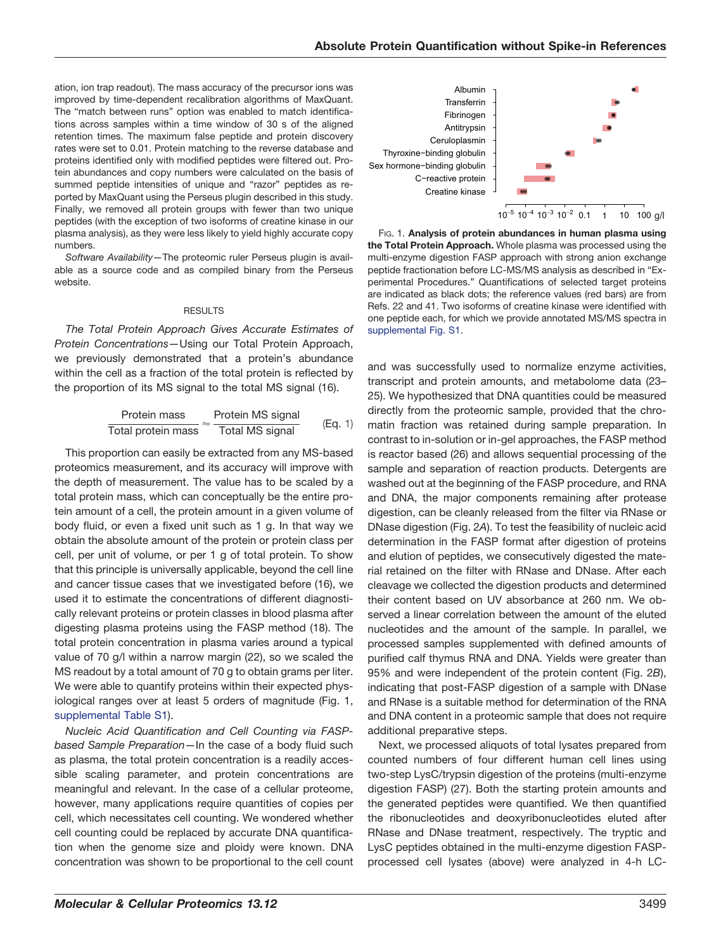ation, ion trap readout). The mass accuracy of the precursor ions was improved by time-dependent recalibration algorithms of MaxQuant. The "match between runs" option was enabled to match identifications across samples within a time window of 30 s of the aligned retention times. The maximum false peptide and protein discovery rates were set to 0.01. Protein matching to the reverse database and proteins identified only with modified peptides were filtered out. Protein abundances and copy numbers were calculated on the basis of summed peptide intensities of unique and "razor" peptides as reported by MaxQuant using the Perseus plugin described in this study. Finally, we removed all protein groups with fewer than two unique peptides (with the exception of two isoforms of creatine kinase in our plasma analysis), as they were less likely to yield highly accurate copy numbers.

*Software Availability—*The proteomic ruler Perseus plugin is available as a source code and as compiled binary from the Perseus website.

### RESULTS

*The Total Protein Approach Gives Accurate Estimates of Protein Concentrations—*Using our Total Protein Approach, we previously demonstrated that a protein's abundance within the cell as a fraction of the total protein is reflected by the proportion of its MS signal to the total MS signal (16).

| Protein mass       | Protein MS signal |         |
|--------------------|-------------------|---------|
| Total protein mass | Total MS signal   | (Eq. 1) |

This proportion can easily be extracted from any MS-based proteomics measurement, and its accuracy will improve with the depth of measurement. The value has to be scaled by a total protein mass, which can conceptually be the entire protein amount of a cell, the protein amount in a given volume of body fluid, or even a fixed unit such as 1 g. In that way we obtain the absolute amount of the protein or protein class per cell, per unit of volume, or per 1 g of total protein. To show that this principle is universally applicable, beyond the cell line and cancer tissue cases that we investigated before (16), we used it to estimate the concentrations of different diagnostically relevant proteins or protein classes in blood plasma after digesting plasma proteins using the FASP method (18). The total protein concentration in plasma varies around a typical value of 70 g/l within a narrow margin (22), so we scaled the MS readout by a total amount of 70 g to obtain grams per liter. We were able to quantify proteins within their expected physiological ranges over at least 5 orders of magnitude (Fig. 1, [supplemental Table S1\)](http://www.mcponline.org/cgi/content/full/M113.037309/DC1).

*Nucleic Acid Quantification and Cell Counting via FASPbased Sample Preparation—*In the case of a body fluid such as plasma, the total protein concentration is a readily accessible scaling parameter, and protein concentrations are meaningful and relevant. In the case of a cellular proteome, however, many applications require quantities of copies per cell, which necessitates cell counting. We wondered whether cell counting could be replaced by accurate DNA quantification when the genome size and ploidy were known. DNA concentration was shown to be proportional to the cell count



FIG. 1. **Analysis of protein abundances in human plasma using the Total Protein Approach.** Whole plasma was processed using the multi-enzyme digestion FASP approach with strong anion exchange peptide fractionation before LC-MS/MS analysis as described in "Experimental Procedures." Quantifications of selected target proteins are indicated as black dots; the reference values (red bars) are from Refs. 22 and 41. Two isoforms of creatine kinase were identified with one peptide each, for which we provide annotated MS/MS spectra in [supplemental Fig. S1.](http://www.mcponline.org/cgi/content/full/M113.037309/DC1)

and was successfully used to normalize enzyme activities, transcript and protein amounts, and metabolome data (23– 25). We hypothesized that DNA quantities could be measured directly from the proteomic sample, provided that the chromatin fraction was retained during sample preparation. In contrast to in-solution or in-gel approaches, the FASP method is reactor based (26) and allows sequential processing of the sample and separation of reaction products. Detergents are washed out at the beginning of the FASP procedure, and RNA and DNA, the major components remaining after protease digestion, can be cleanly released from the filter via RNase or DNase digestion (Fig. 2*A*). To test the feasibility of nucleic acid determination in the FASP format after digestion of proteins and elution of peptides, we consecutively digested the material retained on the filter with RNase and DNase. After each cleavage we collected the digestion products and determined their content based on UV absorbance at 260 nm. We observed a linear correlation between the amount of the eluted nucleotides and the amount of the sample. In parallel, we processed samples supplemented with defined amounts of purified calf thymus RNA and DNA. Yields were greater than 95% and were independent of the protein content (Fig. 2*B*), indicating that post-FASP digestion of a sample with DNase and RNase is a suitable method for determination of the RNA and DNA content in a proteomic sample that does not require additional preparative steps.

Next, we processed aliquots of total lysates prepared from counted numbers of four different human cell lines using two-step LysC/trypsin digestion of the proteins (multi-enzyme digestion FASP) (27). Both the starting protein amounts and the generated peptides were quantified. We then quantified the ribonucleotides and deoxyribonucleotides eluted after RNase and DNase treatment, respectively. The tryptic and LysC peptides obtained in the multi-enzyme digestion FASPprocessed cell lysates (above) were analyzed in 4-h LC-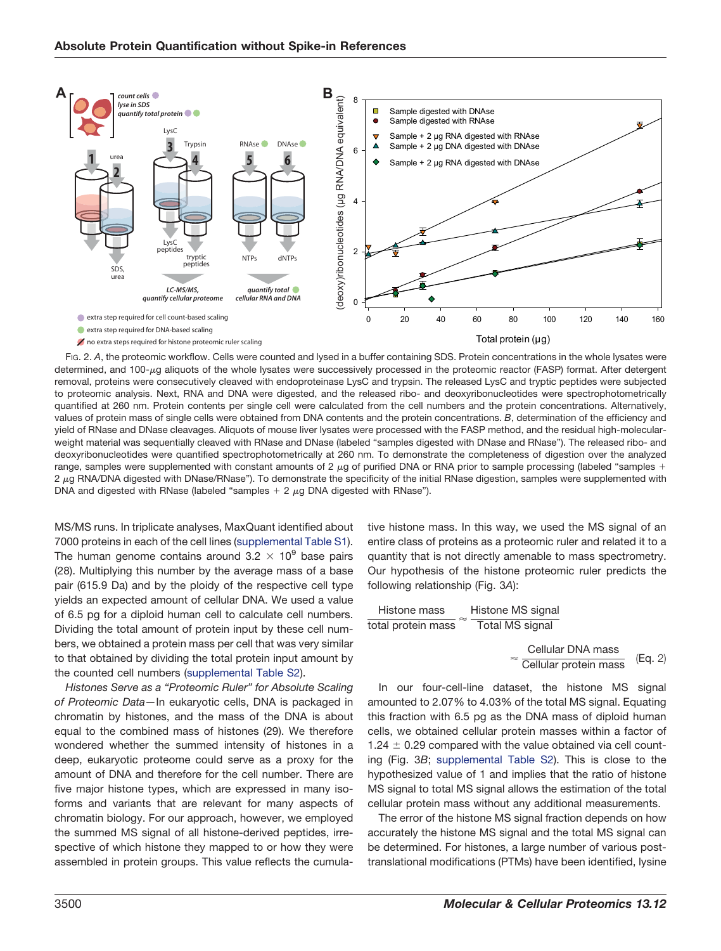

FIG. 2. A, the proteomic workflow. Cells were counted and lysed in a buffer containing SDS. Protein concentrations in the whole lysates were determined, and 100-µg aliquots of the whole lysates were successively processed in the proteomic reactor (FASP) format. After detergent removal, proteins were consecutively cleaved with endoproteinase LysC and trypsin. The released LysC and tryptic peptides were subjected to proteomic analysis. Next, RNA and DNA were digested, and the released ribo- and deoxyribonucleotides were spectrophotometrically quantified at 260 nm. Protein contents per single cell were calculated from the cell numbers and the protein concentrations. Alternatively, values of protein mass of single cells were obtained from DNA contents and the protein concentrations. *B*, determination of the efficiency and yield of RNase and DNase cleavages. Aliquots of mouse liver lysates were processed with the FASP method, and the residual high-molecularweight material was sequentially cleaved with RNase and DNase (labeled "samples digested with DNase and RNase"). The released ribo- and deoxyribonucleotides were quantified spectrophotometrically at 260 nm. To demonstrate the completeness of digestion over the analyzed range, samples were supplemented with constant amounts of 2  $\mu$ g of purified DNA or RNA prior to sample processing (labeled "samples + 2 µg RNA/DNA digested with DNase/RNase"). To demonstrate the specificity of the initial RNase digestion, samples were supplemented with DNA and digested with RNase (labeled "samples  $+$  2  $\mu$ g DNA digested with RNase").

MS/MS runs. In triplicate analyses, MaxQuant identified about 7000 proteins in each of the cell lines [\(supplemental Table S1\)](http://www.mcponline.org/cgi/content/full/M113.037309/DC1). The human genome contains around  $3.2 \times 10^9$  base pairs (28). Multiplying this number by the average mass of a base pair (615.9 Da) and by the ploidy of the respective cell type yields an expected amount of cellular DNA. We used a value of 6.5 pg for a diploid human cell to calculate cell numbers. Dividing the total amount of protein input by these cell numbers, we obtained a protein mass per cell that was very similar to that obtained by dividing the total protein input amount by the counted cell numbers [\(supplemental Table S2\)](http://www.mcponline.org/cgi/content/full/M113.037309/DC1).

*Histones Serve as a "Proteomic Ruler" for Absolute Scaling of Proteomic Data—*In eukaryotic cells, DNA is packaged in chromatin by histones, and the mass of the DNA is about equal to the combined mass of histones (29). We therefore wondered whether the summed intensity of histones in a deep, eukaryotic proteome could serve as a proxy for the amount of DNA and therefore for the cell number. There are five major histone types, which are expressed in many isoforms and variants that are relevant for many aspects of chromatin biology. For our approach, however, we employed the summed MS signal of all histone-derived peptides, irrespective of which histone they mapped to or how they were assembled in protein groups. This value reflects the cumulative histone mass. In this way, we used the MS signal of an entire class of proteins as a proteomic ruler and related it to a quantity that is not directly amenable to mass spectrometry. Our hypothesis of the histone proteomic ruler predicts the following relationship (Fig. 3*A*):

| Histone mass<br>total protein mass | Histone MS signal<br>Total MS signal       |         |
|------------------------------------|--------------------------------------------|---------|
|                                    | Cellular DNA mass<br>Cellular protein mass | (Eq. 2) |

In our four-cell-line dataset, the histone MS signal amounted to 2.07% to 4.03% of the total MS signal. Equating this fraction with 6.5 pg as the DNA mass of diploid human cells, we obtained cellular protein masses within a factor of 1.24  $\pm$  0.29 compared with the value obtained via cell counting (Fig. 3*B*; [supplemental Table S2\)](http://www.mcponline.org/cgi/content/full/M113.037309/DC1). This is close to the hypothesized value of 1 and implies that the ratio of histone MS signal to total MS signal allows the estimation of the total cellular protein mass without any additional measurements.

The error of the histone MS signal fraction depends on how accurately the histone MS signal and the total MS signal can be determined. For histones, a large number of various posttranslational modifications (PTMs) have been identified, lysine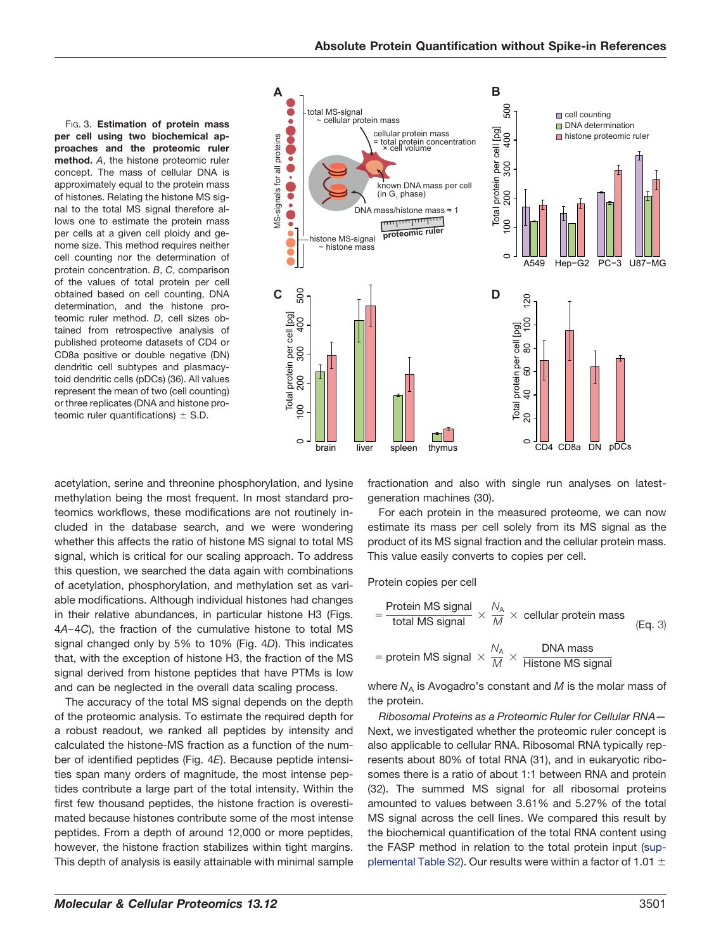FIG. 3. **Estimation of protein mass per cell using two biochemical approaches and the proteomic ruler method.** *A*, the histone proteomic ruler concept. The mass of cellular DNA is approximately equal to the protein mass of histones. Relating the histone MS signal to the total MS signal therefore allows one to estimate the protein mass per cells at a given cell ploidy and genome size. This method requires neither cell counting nor the determination of protein concentration. *B*, *C*, comparison of the values of total protein per cell obtained based on cell counting, DNA determination, and the histone proteomic ruler method. *D*, cell sizes obtained from retrospective analysis of published proteome datasets of CD4 or CD8a positive or double negative (DN) dendritic cell subtypes and plasmacytoid dendritic cells (pDCs) (36). All values represent the mean of two (cell counting) or three replicates (DNA and histone proteomic ruler quantifications)  $\pm$  S.D.



acetylation, serine and threonine phosphorylation, and lysine methylation being the most frequent. In most standard proteomics workflows, these modifications are not routinely included in the database search, and we were wondering whether this affects the ratio of histone MS signal to total MS signal, which is critical for our scaling approach. To address this question, we searched the data again with combinations of acetylation, phosphorylation, and methylation set as variable modifications. Although individual histones had changes in their relative abundances, in particular histone H3 (Figs. 4*A*– 4*C*), the fraction of the cumulative histone to total MS signal changed only by 5% to 10% (Fig. 4*D*). This indicates that, with the exception of histone H3, the fraction of the MS signal derived from histone peptides that have PTMs is low and can be neglected in the overall data scaling process.

The accuracy of the total MS signal depends on the depth of the proteomic analysis. To estimate the required depth for a robust readout, we ranked all peptides by intensity and calculated the histone-MS fraction as a function of the number of identified peptides (Fig. 4*E*). Because peptide intensities span many orders of magnitude, the most intense peptides contribute a large part of the total intensity. Within the first few thousand peptides, the histone fraction is overestimated because histones contribute some of the most intense peptides. From a depth of around 12,000 or more peptides, however, the histone fraction stabilizes within tight margins. This depth of analysis is easily attainable with minimal sample

fractionation and also with single run analyses on latestgeneration machines (30).

For each protein in the measured proteome, we can now estimate its mass per cell solely from its MS signal as the product of its MS signal fraction and the cellular protein mass. This value easily converts to copies per cell.

Protein copies per cell

= 
$$
\frac{\text{Protein MS signal}}{\text{total MS signal}} \times \frac{N_A}{M} \times \text{ cellular protein mass}
$$
 (Eq. 3)  
= protein MS signal  $\times \frac{N_A}{M} \times \frac{\text{DNA mass}}{\text{Histone MS signal}}$ 

where  $N_A$  is Avogadro's constant and  $M$  is the molar mass of the protein.

*Ribosomal Proteins as a Proteomic Ruler for Cellular RNA—* Next, we investigated whether the proteomic ruler concept is also applicable to cellular RNA. Ribosomal RNA typically represents about 80% of total RNA (31), and in eukaryotic ribosomes there is a ratio of about 1:1 between RNA and protein (32). The summed MS signal for all ribosomal proteins amounted to values between 3.61% and 5.27% of the total MS signal across the cell lines. We compared this result by the biochemical quantification of the total RNA content using the FASP method in relation to the total protein input [\(sup](http://www.mcponline.org/cgi/content/full/M113.037309/DC1)[plemental Table S2\)](http://www.mcponline.org/cgi/content/full/M113.037309/DC1). Our results were within a factor of 1.01  $\pm$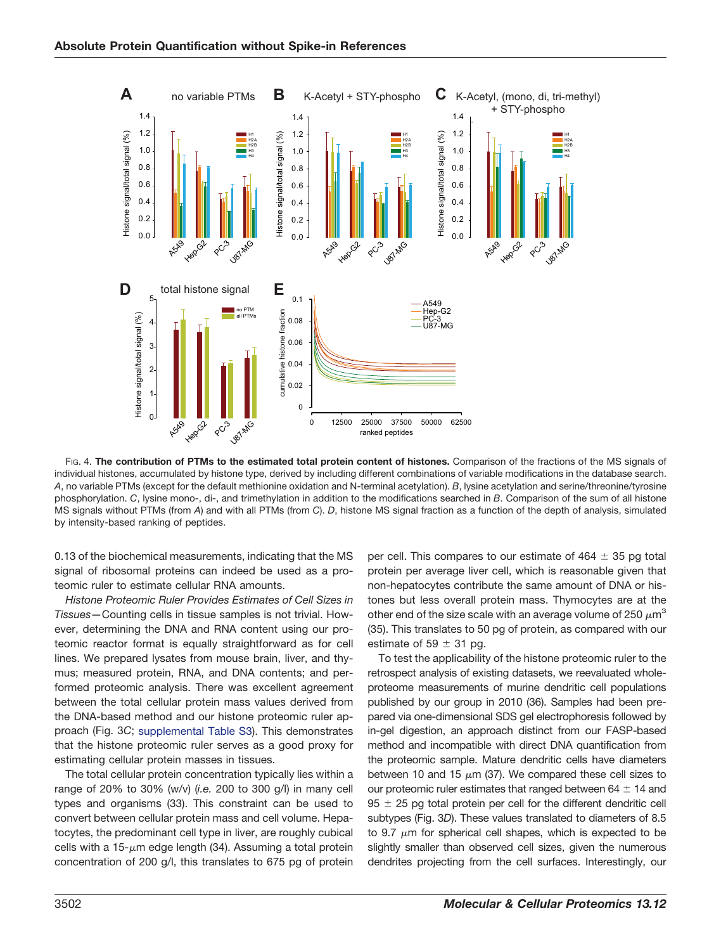

FIG. 4. **The contribution of PTMs to the estimated total protein content of histones.** Comparison of the fractions of the MS signals of individual histones, accumulated by histone type, derived by including different combinations of variable modifications in the database search. *A*, no variable PTMs (except for the default methionine oxidation and N-terminal acetylation). *B*, lysine acetylation and serine/threonine/tyrosine phosphorylation. *C*, lysine mono-, di-, and trimethylation in addition to the modifications searched in *B*. Comparison of the sum of all histone MS signals without PTMs (from *A*) and with all PTMs (from *C*). *D*, histone MS signal fraction as a function of the depth of analysis, simulated by intensity-based ranking of peptides.

0.13 of the biochemical measurements, indicating that the MS signal of ribosomal proteins can indeed be used as a proteomic ruler to estimate cellular RNA amounts.

*Histone Proteomic Ruler Provides Estimates of Cell Sizes in Tissues—*Counting cells in tissue samples is not trivial. However, determining the DNA and RNA content using our proteomic reactor format is equally straightforward as for cell lines. We prepared lysates from mouse brain, liver, and thymus; measured protein, RNA, and DNA contents; and performed proteomic analysis. There was excellent agreement between the total cellular protein mass values derived from the DNA-based method and our histone proteomic ruler approach (Fig. 3*C*; [supplemental Table S3\)](http://www.mcponline.org/cgi/content/full/M113.037309/DC1). This demonstrates that the histone proteomic ruler serves as a good proxy for estimating cellular protein masses in tissues.

The total cellular protein concentration typically lies within a range of 20% to 30% (w/v) (*i.e.* 200 to 300 g/l) in many cell types and organisms (33). This constraint can be used to convert between cellular protein mass and cell volume. Hepatocytes, the predominant cell type in liver, are roughly cubical cells with a 15- $\mu$ m edge length (34). Assuming a total protein concentration of 200 g/l, this translates to 675 pg of protein per cell. This compares to our estimate of  $464 \pm 35$  pg total protein per average liver cell, which is reasonable given that non-hepatocytes contribute the same amount of DNA or histones but less overall protein mass. Thymocytes are at the other end of the size scale with an average volume of 250  $\mu$ m $^3$ (35). This translates to 50 pg of protein, as compared with our estimate of 59  $\pm$  31 pg.

To test the applicability of the histone proteomic ruler to the retrospect analysis of existing datasets, we reevaluated wholeproteome measurements of murine dendritic cell populations published by our group in 2010 (36). Samples had been prepared via one-dimensional SDS gel electrophoresis followed by in-gel digestion, an approach distinct from our FASP-based method and incompatible with direct DNA quantification from the proteomic sample. Mature dendritic cells have diameters between 10 and 15  $\mu$ m (37). We compared these cell sizes to our proteomic ruler estimates that ranged between 64  $\pm$  14 and  $95 \pm 25$  pg total protein per cell for the different dendritic cell subtypes (Fig. 3*D*). These values translated to diameters of 8.5 to 9.7  $\mu$ m for spherical cell shapes, which is expected to be slightly smaller than observed cell sizes, given the numerous dendrites projecting from the cell surfaces. Interestingly, our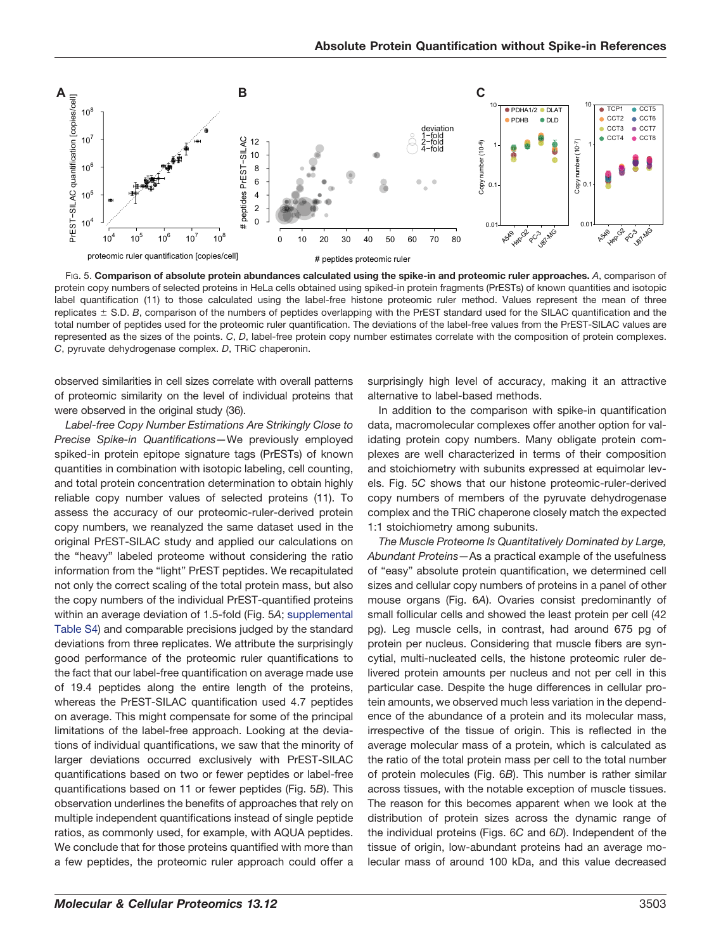

FIG. 5. **Comparison of absolute protein abundances calculated using the spike-in and proteomic ruler approaches.** *A*, comparison of protein copy numbers of selected proteins in HeLa cells obtained using spiked-in protein fragments (PrESTs) of known quantities and isotopic label quantification (11) to those calculated using the label-free histone proteomic ruler method. Values represent the mean of three replicates  $\pm$  S.D. *B*, comparison of the numbers of peptides overlapping with the PrEST standard used for the SILAC quantification and the total number of peptides used for the proteomic ruler quantification. The deviations of the label-free values from the PrEST-SILAC values are represented as the sizes of the points. *C*, *D*, label-free protein copy number estimates correlate with the composition of protein complexes. *C*, pyruvate dehydrogenase complex. *D*, TRiC chaperonin.

observed similarities in cell sizes correlate with overall patterns of proteomic similarity on the level of individual proteins that were observed in the original study (36).

*Label-free Copy Number Estimations Are Strikingly Close to Precise Spike-in Quantifications—*We previously employed spiked-in protein epitope signature tags (PrESTs) of known quantities in combination with isotopic labeling, cell counting, and total protein concentration determination to obtain highly reliable copy number values of selected proteins (11). To assess the accuracy of our proteomic-ruler-derived protein copy numbers, we reanalyzed the same dataset used in the original PrEST-SILAC study and applied our calculations on the "heavy" labeled proteome without considering the ratio information from the "light" PrEST peptides. We recapitulated not only the correct scaling of the total protein mass, but also the copy numbers of the individual PrEST-quantified proteins within an average deviation of 1.5-fold (Fig. 5*A*; [supplemental](http://www.mcponline.org/cgi/content/full/M113.037309/DC1) [Table S4\)](http://www.mcponline.org/cgi/content/full/M113.037309/DC1) and comparable precisions judged by the standard deviations from three replicates. We attribute the surprisingly good performance of the proteomic ruler quantifications to the fact that our label-free quantification on average made use of 19.4 peptides along the entire length of the proteins, whereas the PrEST-SILAC quantification used 4.7 peptides on average. This might compensate for some of the principal limitations of the label-free approach. Looking at the deviations of individual quantifications, we saw that the minority of larger deviations occurred exclusively with PrEST-SILAC quantifications based on two or fewer peptides or label-free quantifications based on 11 or fewer peptides (Fig. 5*B*). This observation underlines the benefits of approaches that rely on multiple independent quantifications instead of single peptide ratios, as commonly used, for example, with AQUA peptides. We conclude that for those proteins quantified with more than a few peptides, the proteomic ruler approach could offer a

surprisingly high level of accuracy, making it an attractive alternative to label-based methods.

In addition to the comparison with spike-in quantification data, macromolecular complexes offer another option for validating protein copy numbers. Many obligate protein complexes are well characterized in terms of their composition and stoichiometry with subunits expressed at equimolar levels. Fig. 5*C* shows that our histone proteomic-ruler-derived copy numbers of members of the pyruvate dehydrogenase complex and the TRiC chaperone closely match the expected 1:1 stoichiometry among subunits.

*The Muscle Proteome Is Quantitatively Dominated by Large, Abundant Proteins—*As a practical example of the usefulness of "easy" absolute protein quantification, we determined cell sizes and cellular copy numbers of proteins in a panel of other mouse organs (Fig. 6*A*). Ovaries consist predominantly of small follicular cells and showed the least protein per cell (42 pg). Leg muscle cells, in contrast, had around 675 pg of protein per nucleus. Considering that muscle fibers are syncytial, multi-nucleated cells, the histone proteomic ruler delivered protein amounts per nucleus and not per cell in this particular case. Despite the huge differences in cellular protein amounts, we observed much less variation in the dependence of the abundance of a protein and its molecular mass, irrespective of the tissue of origin. This is reflected in the average molecular mass of a protein, which is calculated as the ratio of the total protein mass per cell to the total number of protein molecules (Fig. 6*B*). This number is rather similar across tissues, with the notable exception of muscle tissues. The reason for this becomes apparent when we look at the distribution of protein sizes across the dynamic range of the individual proteins (Figs. 6*C* and 6*D*). Independent of the tissue of origin, low-abundant proteins had an average molecular mass of around 100 kDa, and this value decreased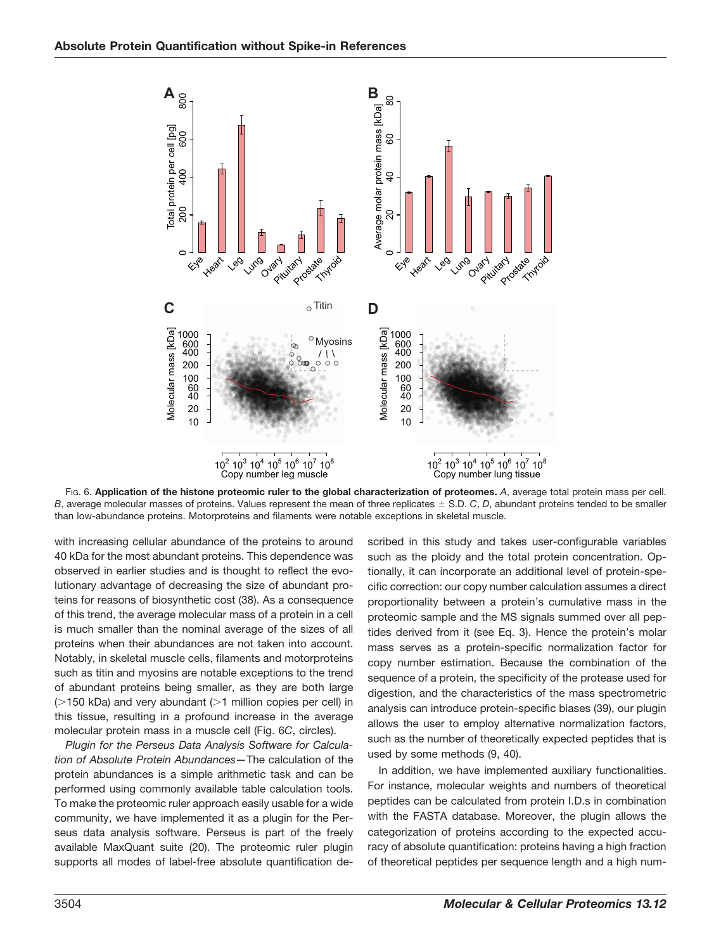

FIG. 6. **Application of the histone proteomic ruler to the global characterization of proteomes.** *A*, average total protein mass per cell. *B*, average molecular masses of proteins. Values represent the mean of three replicates  $\pm$  S.D. *C*, *D*, abundant proteins tended to be smaller than low-abundance proteins. Motorproteins and filaments were notable exceptions in skeletal muscle.

with increasing cellular abundance of the proteins to around 40 kDa for the most abundant proteins. This dependence was observed in earlier studies and is thought to reflect the evolutionary advantage of decreasing the size of abundant proteins for reasons of biosynthetic cost (38). As a consequence of this trend, the average molecular mass of a protein in a cell is much smaller than the nominal average of the sizes of all proteins when their abundances are not taken into account. Notably, in skeletal muscle cells, filaments and motorproteins such as titin and myosins are notable exceptions to the trend of abundant proteins being smaller, as they are both large  $($  150 kDa) and very abundant ( $>1$  million copies per cell) in this tissue, resulting in a profound increase in the average molecular protein mass in a muscle cell (Fig. 6*C*, circles).

*Plugin for the Perseus Data Analysis Software for Calculation of Absolute Protein Abundances—*The calculation of the protein abundances is a simple arithmetic task and can be performed using commonly available table calculation tools. To make the proteomic ruler approach easily usable for a wide community, we have implemented it as a plugin for the Perseus data analysis software. Perseus is part of the freely available MaxQuant suite (20). The proteomic ruler plugin supports all modes of label-free absolute quantification described in this study and takes user-configurable variables such as the ploidy and the total protein concentration. Optionally, it can incorporate an additional level of protein-specific correction: our copy number calculation assumes a direct proportionality between a protein's cumulative mass in the proteomic sample and the MS signals summed over all peptides derived from it (see Eq. 3). Hence the protein's molar mass serves as a protein-specific normalization factor for copy number estimation. Because the combination of the sequence of a protein, the specificity of the protease used for digestion, and the characteristics of the mass spectrometric analysis can introduce protein-specific biases (39), our plugin allows the user to employ alternative normalization factors, such as the number of theoretically expected peptides that is used by some methods (9, 40).

In addition, we have implemented auxiliary functionalities. For instance, molecular weights and numbers of theoretical peptides can be calculated from protein I.D.s in combination with the FASTA database. Moreover, the plugin allows the categorization of proteins according to the expected accuracy of absolute quantification: proteins having a high fraction of theoretical peptides per sequence length and a high num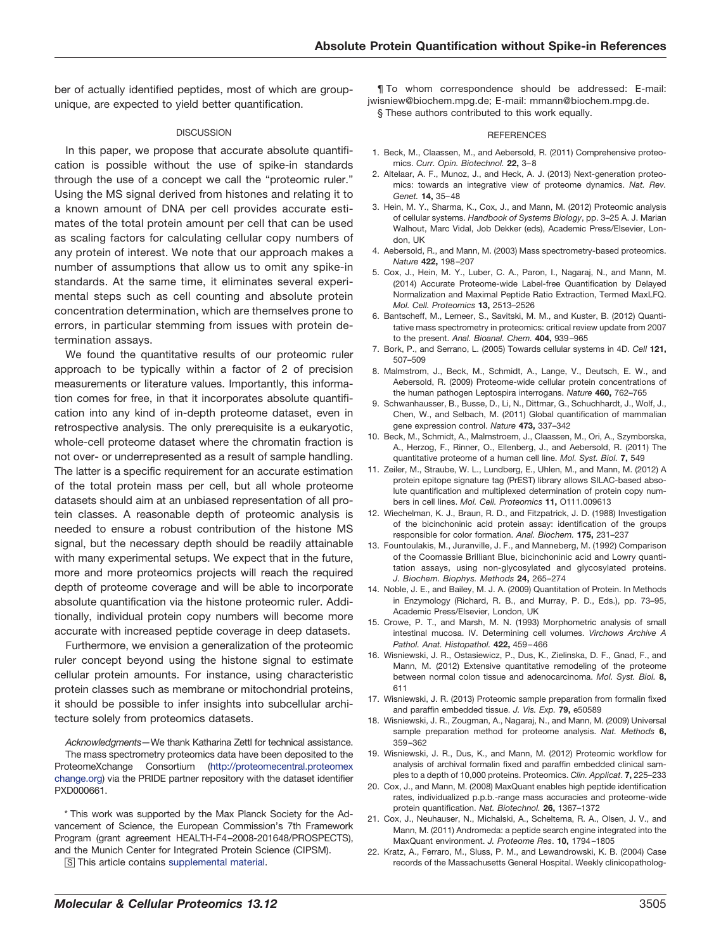ber of actually identified peptides, most of which are groupunique, are expected to yield better quantification.

#### DISCUSSION

In this paper, we propose that accurate absolute quantification is possible without the use of spike-in standards through the use of a concept we call the "proteomic ruler." Using the MS signal derived from histones and relating it to a known amount of DNA per cell provides accurate estimates of the total protein amount per cell that can be used as scaling factors for calculating cellular copy numbers of any protein of interest. We note that our approach makes a number of assumptions that allow us to omit any spike-in standards. At the same time, it eliminates several experimental steps such as cell counting and absolute protein concentration determination, which are themselves prone to errors, in particular stemming from issues with protein determination assays.

We found the quantitative results of our proteomic ruler approach to be typically within a factor of 2 of precision measurements or literature values. Importantly, this information comes for free, in that it incorporates absolute quantification into any kind of in-depth proteome dataset, even in retrospective analysis. The only prerequisite is a eukaryotic, whole-cell proteome dataset where the chromatin fraction is not over- or underrepresented as a result of sample handling. The latter is a specific requirement for an accurate estimation of the total protein mass per cell, but all whole proteome datasets should aim at an unbiased representation of all protein classes. A reasonable depth of proteomic analysis is needed to ensure a robust contribution of the histone MS signal, but the necessary depth should be readily attainable with many experimental setups. We expect that in the future, more and more proteomics projects will reach the required depth of proteome coverage and will be able to incorporate absolute quantification via the histone proteomic ruler. Additionally, individual protein copy numbers will become more accurate with increased peptide coverage in deep datasets.

Furthermore, we envision a generalization of the proteomic ruler concept beyond using the histone signal to estimate cellular protein amounts. For instance, using characteristic protein classes such as membrane or mitochondrial proteins, it should be possible to infer insights into subcellular architecture solely from proteomics datasets.

*Acknowledgments—*We thank Katharina Zettl for technical assistance. The mass spectrometry proteomics data have been deposited to the ProteomeXchange Consortium [\(http://proteomecentral.proteomex](http://proteomecentral.proteomexchange.org) [change.org\)](http://proteomecentral.proteomexchange.org) via the PRIDE partner repository with the dataset identifier PXD000661.

\* This work was supported by the Max Planck Society for the Advancement of Science, the European Commission's 7th Framework Program (grant agreement HEALTH-F4 –2008-201648/PROSPECTS), and the Munich Center for Integrated Protein Science (CIPSM).

□S This article contains [supplemental material.](http://www.mcponline.org/cgi/content/full/M113.037309/DC1)

¶ To whom correspondence should be addressed: E-mail: jwisniew@biochem.mpg.de; E-mail: mmann@biochem.mpg.de. § These authors contributed to this work equally.

#### **REFERENCES**

- 1. Beck, M., Claassen, M., and Aebersold, R. (2011) Comprehensive proteomics. *Curr. Opin. Biotechnol.* **22,** 3– 8
- 2. Altelaar, A. F., Munoz, J., and Heck, A. J. (2013) Next-generation proteomics: towards an integrative view of proteome dynamics. *Nat. Rev. Genet.* **14,** 35– 48
- 3. Hein, M. Y., Sharma, K., Cox, J., and Mann, M. (2012) Proteomic analysis of cellular systems. *Handbook of Systems Biology*, pp. 3–25 A. J. Marian Walhout, Marc Vidal, Job Dekker (eds), Academic Press/Elsevier, London, UK
- 4. Aebersold, R., and Mann, M. (2003) Mass spectrometry-based proteomics. *Nature* **422,** 198 –207
- 5. Cox, J., Hein, M. Y., Luber, C. A., Paron, I., Nagaraj, N., and Mann, M. (2014) Accurate Proteome-wide Label-free Quantification by Delayed Normalization and Maximal Peptide Ratio Extraction, Termed MaxLFQ. *Mol. Cell. Proteomics* **13,** 2513–2526
- 6. Bantscheff, M., Lemeer, S., Savitski, M. M., and Kuster, B. (2012) Quantitative mass spectrometry in proteomics: critical review update from 2007 to the present. *Anal. Bioanal. Chem.* **404,** 939 –965
- 7. Bork, P., and Serrano, L. (2005) Towards cellular systems in 4D. *Cell* **121,** 507–509
- 8. Malmstrom, J., Beck, M., Schmidt, A., Lange, V., Deutsch, E. W., and Aebersold, R. (2009) Proteome-wide cellular protein concentrations of the human pathogen Leptospira interrogans. *Nature* **460,** 762–765
- 9. Schwanhausser, B., Busse, D., Li, N., Dittmar, G., Schuchhardt, J., Wolf, J., Chen, W., and Selbach, M. (2011) Global quantification of mammalian gene expression control. *Nature* **473,** 337–342
- 10. Beck, M., Schmidt, A., Malmstroem, J., Claassen, M., Ori, A., Szymborska, A., Herzog, F., Rinner, O., Ellenberg, J., and Aebersold, R. (2011) The quantitative proteome of a human cell line. *Mol. Syst. Biol.* **7,** 549
- 11. Zeiler, M., Straube, W. L., Lundberg, E., Uhlen, M., and Mann, M. (2012) A protein epitope signature tag (PrEST) library allows SILAC-based absolute quantification and multiplexed determination of protein copy numbers in cell lines. *Mol. Cell. Proteomics* **11,** O111.009613
- 12. Wiechelman, K. J., Braun, R. D., and Fitzpatrick, J. D. (1988) Investigation of the bicinchoninic acid protein assay: identification of the groups responsible for color formation. *Anal. Biochem.* **175,** 231–237
- 13. Fountoulakis, M., Juranville, J. F., and Manneberg, M. (1992) Comparison of the Coomassie Brilliant Blue, bicinchoninic acid and Lowry quantitation assays, using non-glycosylated and glycosylated proteins. *J. Biochem. Biophys. Methods* **24,** 265–274
- 14. Noble, J. E., and Bailey, M. J. A. (2009) Quantitation of Protein. In Methods in Enzymology (Richard, R. B., and Murray, P. D., Eds.), pp. 73–95, Academic Press/Elsevier, London, UK
- 15. Crowe, P. T., and Marsh, M. N. (1993) Morphometric analysis of small intestinal mucosa. IV. Determining cell volumes. *Virchows Archive A Pathol. Anat. Histopathol.* **422,** 459 – 466
- 16. Wisniewski, J. R., Ostasiewicz, P., Dus, K., Zielinska, D. F., Gnad, F., and Mann, M. (2012) Extensive quantitative remodeling of the proteome between normal colon tissue and adenocarcinoma. *Mol. Syst. Biol.* **8,** 611
- 17. Wisniewski, J. R. (2013) Proteomic sample preparation from formalin fixed and paraffin embedded tissue. *J. Vis. Exp.* **79,** e50589
- 18. Wisniewski, J. R., Zougman, A., Nagaraj, N., and Mann, M. (2009) Universal sample preparation method for proteome analysis. *Nat. Methods* **6,** 359 –362
- 19. Wisniewski, J. R., Dus, K., and Mann, M. (2012) Proteomic workflow for analysis of archival formalin fixed and paraffin embedded clinical samples to a depth of 10,000 proteins. Proteomics. *Clin. Applicat*. **7,** 225–233
- 20. Cox, J., and Mann, M. (2008) MaxQuant enables high peptide identification rates, individualized p.p.b.-range mass accuracies and proteome-wide protein quantification. *Nat. Biotechnol.* **26,** 1367–1372
- 21. Cox, J., Neuhauser, N., Michalski, A., Scheltema, R. A., Olsen, J. V., and Mann, M. (2011) Andromeda: a peptide search engine integrated into the MaxQuant environment. *J. Proteome Res*. **10,** 1794 –1805
- 22. Kratz, A., Ferraro, M., Sluss, P. M., and Lewandrowski, K. B. (2004) Case records of the Massachusetts General Hospital. Weekly clinicopatholog-